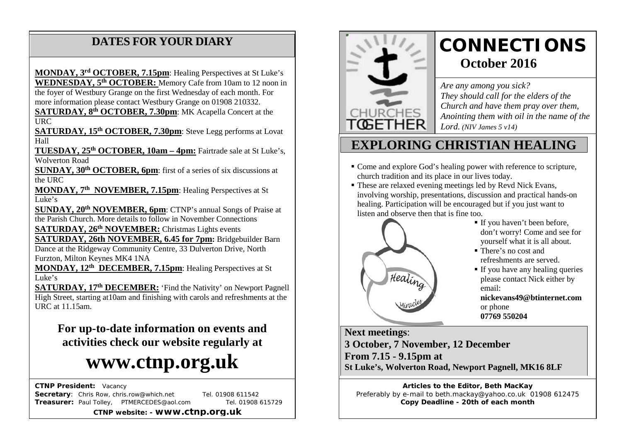### **DATES FOR YOUR DIARY**

 the foyer of Westbury Grange on the first Wednesday of each month. For more information please contact Westbury Grange on 01908 210332. **MONDAY, 3rd OCTOBER, 7.15pm**: Healing Perspectives at St Luke's **WEDNESDAY, 5th OCTOBER:** Memory Cafe from 10am to 12 noon in

**SATURDAY, 8<sup>th</sup> OCTOBER, 7.30pm**: MK Acapella Concert at the  $IIRC$ 

**SATURDAY, 15th OCTOBER, 7.30pm**: Steve Legg performs at Lovat Hall

**TUESDAY, 25th OCTOBER, 10am – 4pm:** Fairtrade sale at St Luke's, Wolverton Road

**SUNDAY, 30th OCTOBER, 6pm**: first of a series of six discussions at the URC

**MONDAY, 7th NOVEMBER, 7.15pm**: Healing Perspectives at St  $\overline{\text{Luke's}}$ 

**SUNDAY, 20th NOVEMBER, 6pm**: CTNP's annual Songs of Praise at the Parish Church. More details to follow in November Connections

**SATURDAY, 26th NOVEMBER:** Christmas Lights events

**SATURDAY, 26th NOVEMBER, 6.45 for 7pm:** Bridgebuilder Barn Dance at the Ridgeway Community Centre, 33 Dulverton Drive, North

Furzton, Milton Keynes MK4 1NA

**MONDAY, 12th DECEMBER, 7.15pm**: Healing Perspectives at St Luke's

**SATURDAY, 17th DECEMBER:** 'Find the Nativity' on Newport Pagnell High Street, starting at10am and finishing with carols and refreshments at the URC at 11.15am.

**For up-to-date information on events and activities check our website regularly at**

# **www.ctnp.org.uk**

 **CTNP President:** Vacancy

**Secretary:** Chris Row, chris.row@which.net Tel. 01908 611542 **Treasurer:** Paul Tolley, PTMERCEDES@aol.com Tel. 01908 615729

**CTNP website: - www.ctnp.org.uk**



# **CONNECTIONS October 2016**

*Are any among you sick? They should call for the elders of the Church and have them pray over them, Anointing them with oil in the name of the Lord. (NIV James 5 v14)*

## **EXPLORING CHRISTIAN HEALING**

- Come and explore God's healing power with reference to scripture, church tradition and its place in our lives today.
- These are relaxed evening meetings led by Revd Nick Evans, involving worship, presentations, discussion and practical hands-on healing. Participation will be encouraged but if you just want to listen and observe then that is fine too.



- If you haven't been before, don't worry! Come and see for yourself what it is all about.
- There's no cost and refreshments are served.
- If you have any healing queries please contact Nick either by email:

**[nickevans49@btinternet.com](mailto:nickevans49@btinternet.com)** or phone **07769 550204**

**Next meetings**: **3 October, 7 November, 12 December From 7.15 - 9.15pm at St Luke's, Wolverton Road, Newport Pagnell, MK16 8LF**

**Articles to the Editor, Beth MacKay** Preferably by e-mail to beth.mackay@yahoo.co.uk 01908 612475 **Copy Deadline - 20th of each month**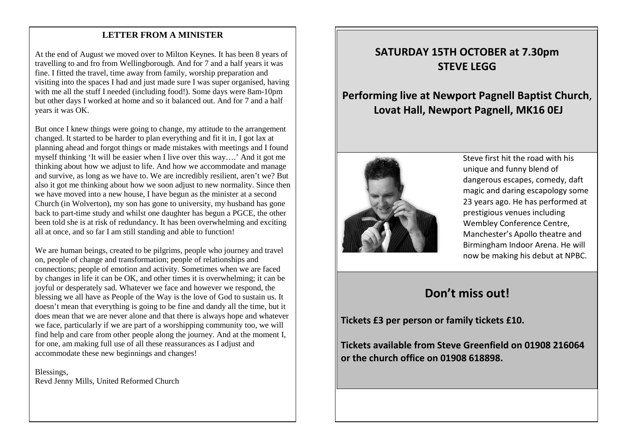#### mee **LETTER FROM A MINISTER**

At the end of August we moved over to Milton Keynes. It has been 8 years of travelling to and fro from Wellingborough. And for 7 and a half years it was fine. I fitted the travel, time away from family, worship preparation and visiting into the spaces I had and just made sure I was super organised, having with me all the stuff I needed (including food!). Some days were 8am-10pm but other days I worked at home and so it balanced out. And for 7 and a half years it was OK.

But once I knew things were going to change, my attitude to the arrangement changed. It started to be harder to plan everything and fit it in, I got lax at planning ahead and forgot things or made mistakes with meetings and I found myself thinking 'It will be easier when I live over this way….' And it got me thinking about how we adjust to life. And how we accommodate and manage and survive, as long as we have to. We are incredibly resilient, aren't we? But also it got me thinking about how we soon adjust to new normality. Since then we have moved into a new house, I have begun as the minister at a second Church (in Wolverton), my son has gone to university, my husband has gone back to part-time study and whilst one daughter has begun a PGCE, the other been told she is at risk of redundancy. It has been overwhelming and exciting all at once, and so far I am still standing and able to function!

We are human beings, created to be pilgrims, people who journey and travel on, people of change and transformation; people of relationships and connections; people of emotion and activity. Sometimes when we are faced by changes in life it can be OK, and other times it is overwhelming; it can be joyful or desperately sad. Whatever we face and however we respond, the blessing we all have as People of the Way is the love of God to sustain us. It doesn't mean that everything is going to be fine and dandy all the time, but it does mean that we are never alone and that there is always hope and whatever we face, particularly if we are part of a worshipping community too, we will find help and care from other people along the journey. And at the moment I, for one, am making full use of all these reassurances as I adjust and accommodate these new beginnings and changes!

Blessings, Revd Jenny Mills, United Reformed Church

#### **SATURDAY 15TH OCTOBER at 7.30pm STEVE LEGG**

#### **Performing live at Newport Pagnell Baptist Church**, **Lovat Hall, Newport Pagnell, MK16 0EJ**



Steve first hit the road with his unique and funny blend of dangerous escapes, comedy, daft magic and daring escapology some 23 years ago. He has performed at prestigious venues including Wembley Conference Centre, Manchester's Apollo theatre and Birmingham Indoor Arena. He will now be making his debut at NPBC.

## **Don't miss out!**

**Tickets £3 per person or family tickets £10.** 

**Tickets available from Steve Greenfield on 01908 216064 or the church office on 01908 618898.**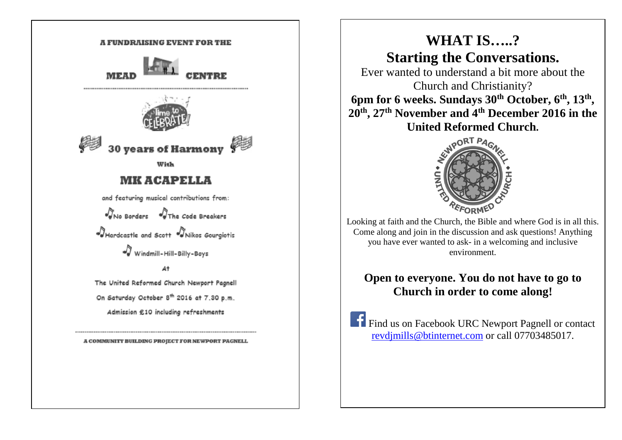

A COMMUNITY BUILDING PROJECT FOR NEWPORT PAGNELL

# **WHAT IS…..? Starting the Conversations.**

Ever wanted to understand a bit more about the Church and Christianity? **6pm for 6 weeks. Sundays 30th October, 6th, 13th , 20th, 27th November and 4th December 2016 in the United Reformed Church.**



Looking at faith and the Church, the Bible and where God is in all this. Come along and join in the discussion and ask questions! Anything you have ever wanted to ask- in a welcoming and inclusive environment.

#### **Open to everyone. You do not have to go to Church in order to come along!**